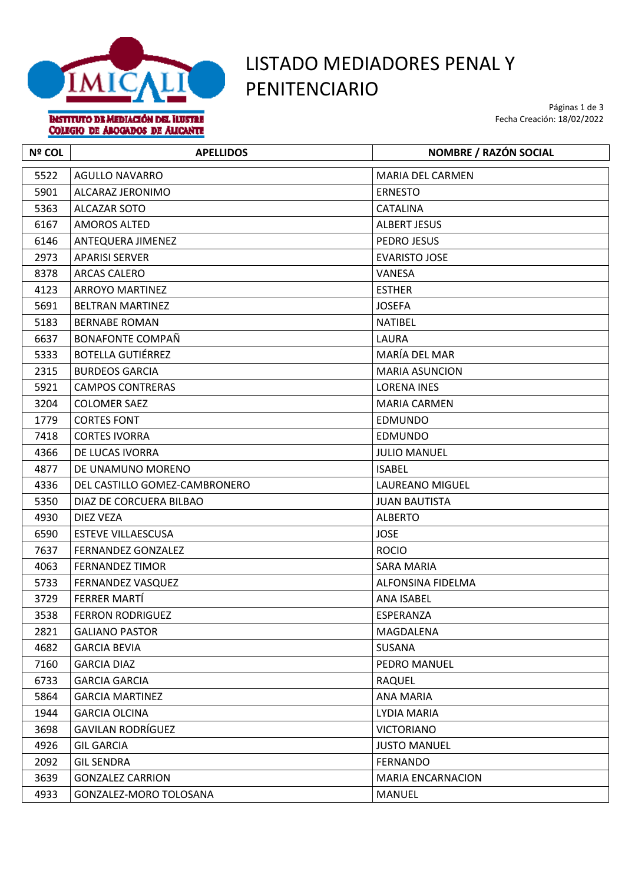

## LISTADO MEDIADORES PENAL Y PENITENCIARIO

Páginas 1 de 3 Fecha Creación: 18/02/2022

**BISTITUTO DE MEDIACIÓN DEL HUSTRE** COLEGIO DE ABOGADOS DE ALICANTE

| <b>Nº COL</b> | <b>APELLIDOS</b>              | <b>NOMBRE / RAZÓN SOCIAL</b> |
|---------------|-------------------------------|------------------------------|
| 5522          | <b>AGULLO NAVARRO</b>         | <b>MARIA DEL CARMEN</b>      |
| 5901          | ALCARAZ JERONIMO              | <b>ERNESTO</b>               |
| 5363          | ALCAZAR SOTO                  | CATALINA                     |
| 6167          | <b>AMOROS ALTED</b>           | <b>ALBERT JESUS</b>          |
| 6146          | ANTEQUERA JIMENEZ             | PEDRO JESUS                  |
| 2973          | <b>APARISI SERVER</b>         | <b>EVARISTO JOSE</b>         |
| 8378          | <b>ARCAS CALERO</b>           | VANESA                       |
| 4123          | <b>ARROYO MARTINEZ</b>        | <b>ESTHER</b>                |
| 5691          | <b>BELTRAN MARTINEZ</b>       | <b>JOSEFA</b>                |
| 5183          | <b>BERNABE ROMAN</b>          | <b>NATIBEL</b>               |
| 6637          | <b>BONAFONTE COMPAÑ</b>       | LAURA                        |
| 5333          | <b>BOTELLA GUTIÉRREZ</b>      | MARÍA DEL MAR                |
| 2315          | <b>BURDEOS GARCIA</b>         | <b>MARIA ASUNCION</b>        |
| 5921          | <b>CAMPOS CONTRERAS</b>       | <b>LORENA INES</b>           |
| 3204          | <b>COLOMER SAEZ</b>           | <b>MARIA CARMEN</b>          |
| 1779          | <b>CORTES FONT</b>            | <b>EDMUNDO</b>               |
| 7418          | <b>CORTES IVORRA</b>          | <b>EDMUNDO</b>               |
| 4366          | DE LUCAS IVORRA               | <b>JULIO MANUEL</b>          |
| 4877          | DE UNAMUNO MORENO             | <b>ISABEL</b>                |
| 4336          | DEL CASTILLO GOMEZ-CAMBRONERO | <b>LAUREANO MIGUEL</b>       |
| 5350          | DIAZ DE CORCUERA BILBAO       | <b>JUAN BAUTISTA</b>         |
| 4930          | DIEZ VEZA                     | <b>ALBERTO</b>               |
| 6590          | <b>ESTEVE VILLAESCUSA</b>     | <b>JOSE</b>                  |
| 7637          | <b>FERNANDEZ GONZALEZ</b>     | <b>ROCIO</b>                 |
| 4063          | <b>FERNANDEZ TIMOR</b>        | <b>SARA MARIA</b>            |
| 5733          | FERNANDEZ VASQUEZ             | ALFONSINA FIDELMA            |
| 3729          | FERRER MARTÍ                  | <b>ANA ISABEL</b>            |
| 3538          | <b>FERRON RODRIGUEZ</b>       | ESPERANZA                    |
| 2821          | <b>GALIANO PASTOR</b>         | MAGDALENA                    |
| 4682          | <b>GARCIA BEVIA</b>           | SUSANA                       |
| 7160          | <b>GARCIA DIAZ</b>            | PEDRO MANUEL                 |
| 6733          | <b>GARCIA GARCIA</b>          | <b>RAQUEL</b>                |
| 5864          | <b>GARCIA MARTINEZ</b>        | ANA MARIA                    |
| 1944          | <b>GARCIA OLCINA</b>          | LYDIA MARIA                  |
| 3698          | <b>GAVILAN RODRÍGUEZ</b>      | <b>VICTORIANO</b>            |
| 4926          | <b>GIL GARCIA</b>             | <b>JUSTO MANUEL</b>          |
| 2092          | <b>GIL SENDRA</b>             | <b>FERNANDO</b>              |
| 3639          | <b>GONZALEZ CARRION</b>       | <b>MARIA ENCARNACION</b>     |
| 4933          | GONZALEZ-MORO TOLOSANA        | MANUEL                       |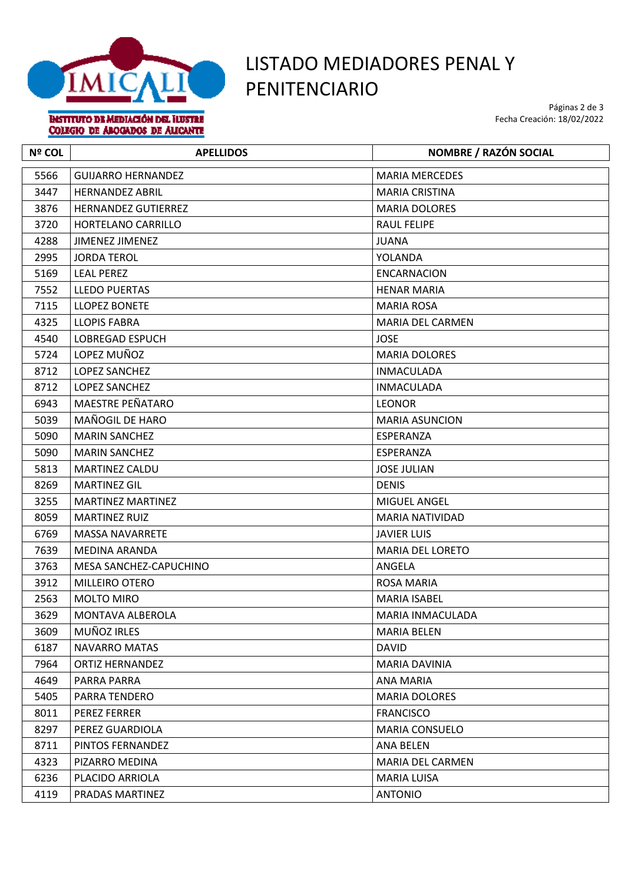

COLEGIO DE ABOGADOS DE ALICANTE

## LISTADO MEDIADORES PENAL Y

Páginas 2 de 3 Fecha Creación: 18/02/2022

**Nº COL APELLIDOS NOMBRE / RAZÓN SOCIAL** 5566 GUIJARRO HERNANDEZ MARIA MERCEDES 3447 HERNANDEZ ABRIL MARIA CRISTINA 3876 HERNANDEZ GUTIERREZ MARIA DOLORES 3720 HORTELANO CARRILLO RAUL FELIPE 4288 JIMENEZ JIMENEZ JUANA 2995 JORDA TEROL VOLANDA 5169 LEAL PEREZ ENCARNACION 7552 LLEDO PUERTAS HENAR MARIA 7115 | LLOPEZ BONETE NARIA ROSA | MARIA ROSA 4325 LLOPIS FABRA MARIA DEL CARMEN 4540 | LOBREGAD ESPUCH | JOSE 5724 LOPEZ MUÑOZ MARIA DOLORES 8712 LOPEZ SANCHEZ INMACULADA 8712 LOPEZ SANCHEZ INMACULADA 6943 MAESTRE PEÑATARO LEONOR 5039 MAÑOGIL DE HARO MARIA ASUNCION 5090 MARIN SANCHEZ ESPERANZA 5090 MARIN SANCHEZ ESPERANZA 5813 MARTINEZ CALDU JOSE JULIAN 8269 | MARTINEZ GIL | DENIS 3255 MARTINEZ MARTINEZ MIGUEL ANGEL 8059 MARTINEZ RUIZ MARIA NATIVIDAD 6769 MASSA NAVARRETE JAVIER LUIS 7639 | MEDINA ARANDA MARIA DEL LORETO 3763 MESA SANCHEZ-CAPUCHINO ANGELA 3912 MILLEIRO OTERO ROSA MARIA 2563 MOLTO MIRO MARIA ISABEL 3629 MONTAVA ALBEROLA MARIA INMACULADA 3609 MUÑOZ IRLES MARIA BELEN 6187 NAVARRO MATAS DAVID 7964 ORTIZ HERNANDEZ MARIA DAVINIA 4649 PARRA PARRA ANA MARIA ANG PARRA ANG PARRA ANG PARRA ANG PARAMARIA ANG PARAMARIA 5405 PARRA TENDERO MARIA DOLORES 8011 PEREZ FERRER FRANCISCO 8297 PEREZ GUARDIOLA MARIA CONSUELO 8711 PINTOS FERNANDEZ ANA BELEN 4323 PIZARRO MEDINA MARIA DEL CARMEN 6236 PLACIDO ARRIOLA MARIA LUISA 4119 PRADAS MARTINEZ ANTONIO